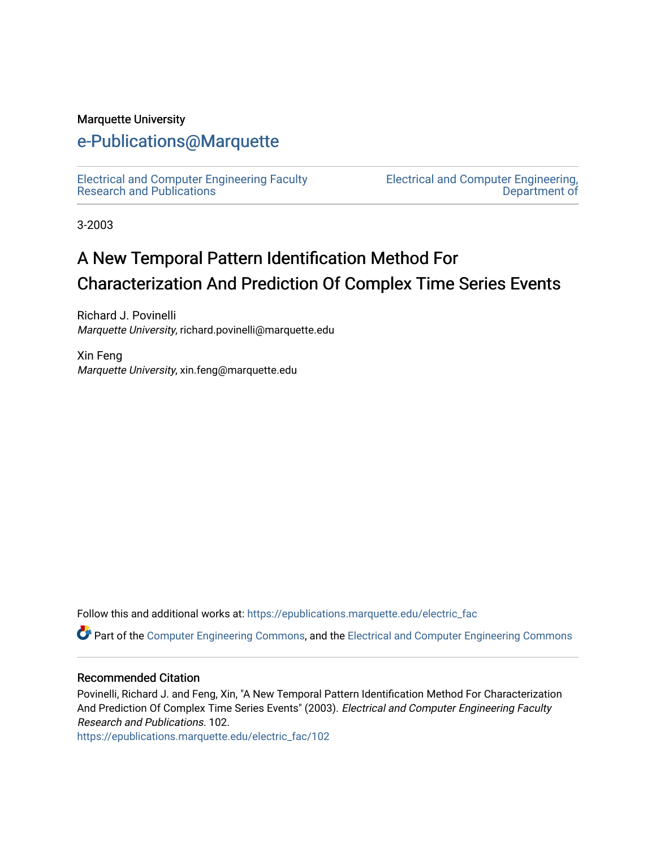### Marquette University

# [e-Publications@Marquette](https://epublications.marquette.edu/)

[Electrical and Computer Engineering Faculty](https://epublications.marquette.edu/electric_fac) [Research and Publications](https://epublications.marquette.edu/electric_fac) 

[Electrical and Computer Engineering,](https://epublications.marquette.edu/electric)  [Department of](https://epublications.marquette.edu/electric) 

3-2003

# A New Temporal Pattern Identification Method For Characterization And Prediction Of Complex Time Series Events

Richard J. Povinelli Marquette University, richard.povinelli@marquette.edu

Xin Feng Marquette University, xin.feng@marquette.edu

Follow this and additional works at: [https://epublications.marquette.edu/electric\\_fac](https://epublications.marquette.edu/electric_fac?utm_source=epublications.marquette.edu%2Felectric_fac%2F102&utm_medium=PDF&utm_campaign=PDFCoverPages) 

Part of the [Computer Engineering Commons,](http://network.bepress.com/hgg/discipline/258?utm_source=epublications.marquette.edu%2Felectric_fac%2F102&utm_medium=PDF&utm_campaign=PDFCoverPages) and the [Electrical and Computer Engineering Commons](http://network.bepress.com/hgg/discipline/266?utm_source=epublications.marquette.edu%2Felectric_fac%2F102&utm_medium=PDF&utm_campaign=PDFCoverPages)

### Recommended Citation

Povinelli, Richard J. and Feng, Xin, "A New Temporal Pattern Identification Method For Characterization And Prediction Of Complex Time Series Events" (2003). Electrical and Computer Engineering Faculty Research and Publications. 102.

[https://epublications.marquette.edu/electric\\_fac/102](https://epublications.marquette.edu/electric_fac/102?utm_source=epublications.marquette.edu%2Felectric_fac%2F102&utm_medium=PDF&utm_campaign=PDFCoverPages)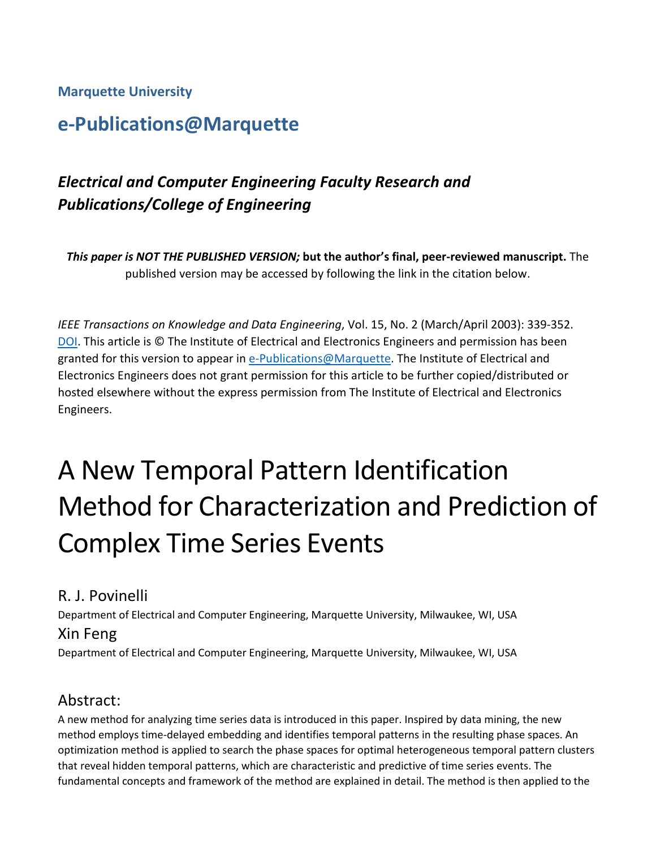## **Marquette University**

# **e-Publications@Marquette**

# *Electrical and Computer Engineering Faculty Research and Publications/College of Engineering*

*This paper is NOT THE PUBLISHED VERSION;* **but the author's final, peer-reviewed manuscript.** The published version may be accessed by following the link in the citation below.

*IEEE Transactions on Knowledge and Data Engineering*, Vol. 15, No. 2 (March/April 2003): 339-352. [DOI.](https://doi.org/10.1109/TKDE.2003.1185838) This article is © The Institute of Electrical and Electronics Engineers and permission has been granted for this version to appear in [e-Publications@Marquette.](http://epublications.marquette.edu/) The Institute of Electrical and Electronics Engineers does not grant permission for this article to be further copied/distributed or hosted elsewhere without the express permission from The Institute of Electrical and Electronics Engineers.

# A New Temporal Pattern Identification Method for Characterization and Prediction of Complex Time Series Events

# R. J. Povinelli

Department of Electrical and Computer Engineering, Marquette University, Milwaukee, WI, USA

# Xin Feng

Department of Electrical and Computer Engineering, Marquette University, Milwaukee, WI, USA

# Abstract:

A new method for analyzing time series data is introduced in this paper. Inspired by data mining, the new method employs time-delayed embedding and identifies temporal patterns in the resulting phase spaces. An optimization method is applied to search the phase spaces for optimal heterogeneous temporal pattern clusters that reveal hidden temporal patterns, which are characteristic and predictive of time series events. The fundamental concepts and framework of the method are explained in detail. The method is then applied to the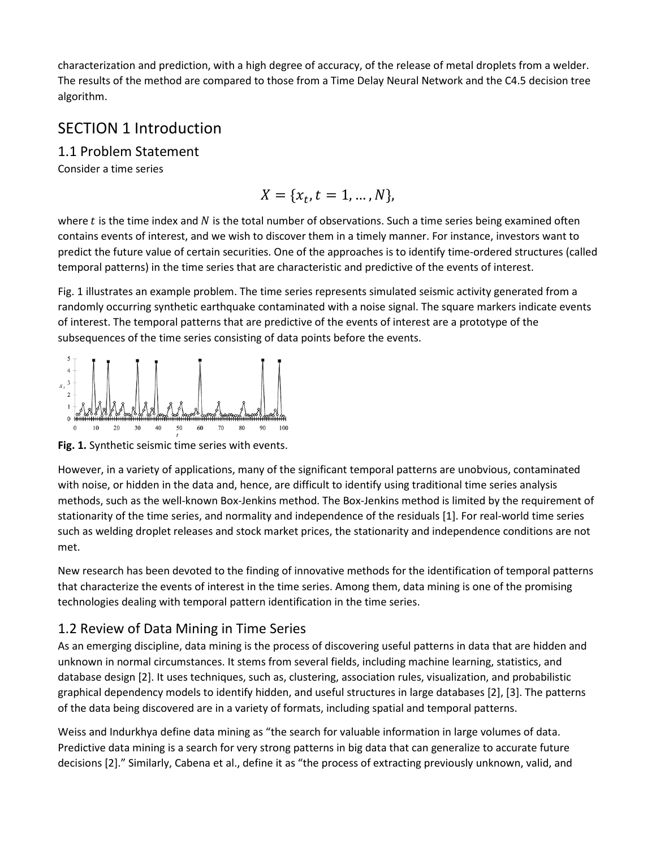characterization and prediction, with a high degree of accuracy, of the release of metal droplets from a welder. The results of the method are compared to those from a Time Delay Neural Network and the C4.5 decision tree algorithm.

# SECTION 1 Introduction

1.1 Problem Statement

Consider a time series

$$
X = \{x_t, t = 1, \ldots, N\},\
$$

where  $t$  is the time index and  $N$  is the total number of observations. Such a time series being examined often contains events of interest, and we wish to discover them in a timely manner. For instance, investors want to predict the future value of certain securities. One of the approaches is to identify time-ordered structures (called temporal patterns) in the time series that are characteristic and predictive of the events of interest.

Fig. 1 illustrates an example problem. The time series represents simulated seismic activity generated from a randomly occurring synthetic earthquake contaminated with a noise signal. The square markers indicate events of interest. The temporal patterns that are predictive of the events of interest are a prototype of the subsequences of the time series consisting of data points before the events.



**Fig. 1.** Synthetic seismic time series with events.

However, in a variety of applications, many of the significant temporal patterns are unobvious, contaminated with noise, or hidden in the data and, hence, are difficult to identify using traditional time series analysis methods, such as the well-known Box-Jenkins method. The Box-Jenkins method is limited by the requirement of stationarity of the time series, and normality and independence of the residuals [1]. For real-world time series such as welding droplet releases and stock market prices, the stationarity and independence conditions are not met.

New research has been devoted to the finding of innovative methods for the identification of temporal patterns that characterize the events of interest in the time series. Among them, data mining is one of the promising technologies dealing with temporal pattern identification in the time series.

# 1.2 Review of Data Mining in Time Series

As an emerging discipline, data mining is the process of discovering useful patterns in data that are hidden and unknown in normal circumstances. It stems from several fields, including machine learning, statistics, and database design [2]. It uses techniques, such as, clustering, association rules, visualization, and probabilistic graphical dependency models to identify hidden, and useful structures in large databases [2], [3]. The patterns of the data being discovered are in a variety of formats, including spatial and temporal patterns.

Weiss and Indurkhya define data mining as "the search for valuable information in large volumes of data. Predictive data mining is a search for very strong patterns in big data that can generalize to accurate future decisions [2]." Similarly, Cabena et al., define it as "the process of extracting previously unknown, valid, and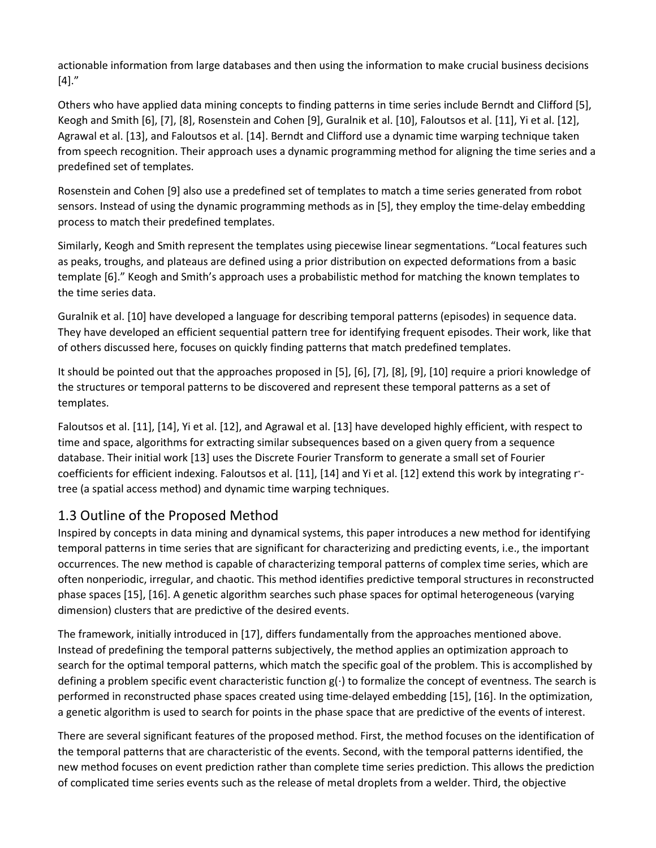actionable information from large databases and then using the information to make crucial business decisions  $[4]."$ 

Others who have applied data mining concepts to finding patterns in time series include Berndt and Clifford [5], Keogh and Smith [6], [7], [8], Rosenstein and Cohen [9], Guralnik et al. [10], Faloutsos et al. [11], Yi et al. [12], Agrawal et al. [13], and Faloutsos et al. [14]. Berndt and Clifford use a dynamic time warping technique taken from speech recognition. Their approach uses a dynamic programming method for aligning the time series and a predefined set of templates.

Rosenstein and Cohen [9] also use a predefined set of templates to match a time series generated from robot sensors. Instead of using the dynamic programming methods as in [5], they employ the time-delay embedding process to match their predefined templates.

Similarly, Keogh and Smith represent the templates using piecewise linear segmentations. "Local features such as peaks, troughs, and plateaus are defined using a prior distribution on expected deformations from a basic template [6]." Keogh and Smith's approach uses a probabilistic method for matching the known templates to the time series data.

Guralnik et al. [10] have developed a language for describing temporal patterns (episodes) in sequence data. They have developed an efficient sequential pattern tree for identifying frequent episodes. Their work, like that of others discussed here, focuses on quickly finding patterns that match predefined templates.

It should be pointed out that the approaches proposed in [5], [6], [7], [8], [9], [10] require a priori knowledge of the structures or temporal patterns to be discovered and represent these temporal patterns as a set of templates.

Faloutsos et al. [11], [14], Yi et al. [12], and Agrawal et al. [13] have developed highly efficient, with respect to time and space, algorithms for extracting similar subsequences based on a given query from a sequence database. Their initial work [13] uses the Discrete Fourier Transform to generate a small set of Fourier coefficients for efficient indexing. Faloutsos et al. [11], [14] and Yi et al. [12] extend this work by integrating r\* tree (a spatial access method) and dynamic time warping techniques.

# 1.3 Outline of the Proposed Method

Inspired by concepts in data mining and dynamical systems, this paper introduces a new method for identifying temporal patterns in time series that are significant for characterizing and predicting events, i.e., the important occurrences. The new method is capable of characterizing temporal patterns of complex time series, which are often nonperiodic, irregular, and chaotic. This method identifies predictive temporal structures in reconstructed phase spaces [15], [16]. A genetic algorithm searches such phase spaces for optimal heterogeneous (varying dimension) clusters that are predictive of the desired events.

The framework, initially introduced in [17], differs fundamentally from the approaches mentioned above. Instead of predefining the temporal patterns subjectively, the method applies an optimization approach to search for the optimal temporal patterns, which match the specific goal of the problem. This is accomplished by defining a problem specific event characteristic function g(⋅) to formalize the concept of eventness. The search is performed in reconstructed phase spaces created using time-delayed embedding [15], [16]. In the optimization, a genetic algorithm is used to search for points in the phase space that are predictive of the events of interest.

There are several significant features of the proposed method. First, the method focuses on the identification of the temporal patterns that are characteristic of the events. Second, with the temporal patterns identified, the new method focuses on event prediction rather than complete time series prediction. This allows the prediction of complicated time series events such as the release of metal droplets from a welder. Third, the objective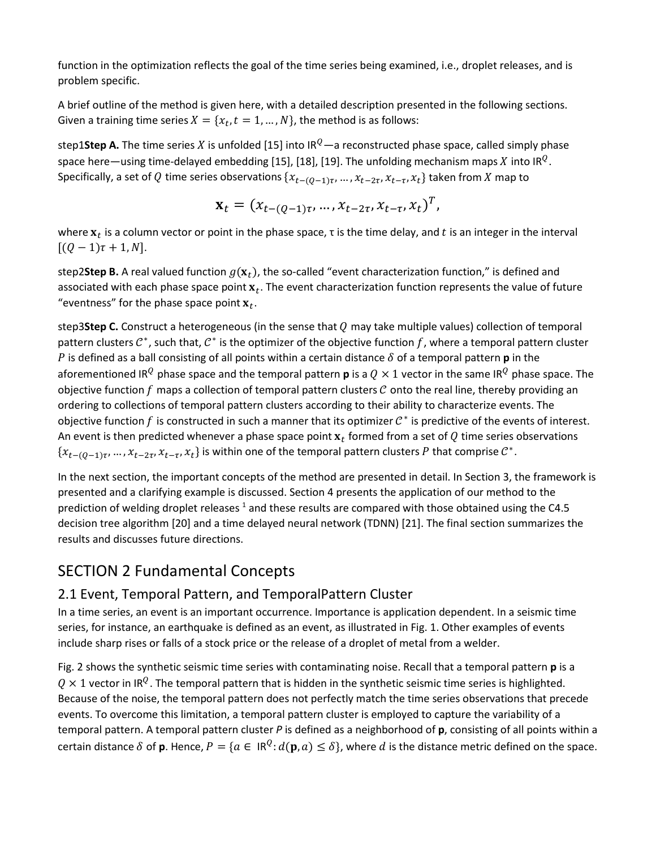function in the optimization reflects the goal of the time series being examined, i.e., droplet releases, and is problem specific.

A brief outline of the method is given here, with a detailed description presented in the following sections. Given a training time series  $X = \{x_t, t = 1, ..., N\}$ , the method is as follows:

step1Step A. The time series X is unfolded [15] into IR<sup>Q</sup>—a reconstructed phase space, called simply phase space here—using time-delayed embedding [15], [18], [19]. The unfolding mechanism maps X into IR<sup>Q</sup>. Specifically, a set of Q time series observations  $\{x_{t-(O-1)\tau}, ..., x_{t-2\tau}, x_{t-\tau}, x_t\}$  taken from X map to

$$
\mathbf{x}_t = (x_{t-(Q-1)\tau}, \dots, x_{t-2\tau}, x_{t-\tau}, x_t)^T,
$$

where  $x_t$  is a column vector or point in the phase space,  $\tau$  is the time delay, and t is an integer in the interval  $[(Q - 1)\tau + 1, N].$ 

step2**Step B.** A real valued function  $g(\mathbf{x}_t)$ , the so-called "event characterization function," is defined and associated with each phase space point  $x_t$ . The event characterization function represents the value of future "eventness" for the phase space point  $x_t$ .

step3**Step C.** Construct a heterogeneous (in the sense that  $Q$  may take multiple values) collection of temporal pattern clusters  $\mathcal{C}^*$ , such that,  $\mathcal{C}^*$  is the optimizer of the objective function f, where a temporal pattern cluster P is defined as a ball consisting of all points within a certain distance  $\delta$  of a temporal pattern **p** in the aforementioned IR<sup>Q</sup> phase space and the temporal pattern **p** is a  $Q \times 1$  vector in the same IR<sup>Q</sup> phase space. The objective function  $f$  maps a collection of temporal pattern clusters  $C$  onto the real line, thereby providing an ordering to collections of temporal pattern clusters according to their ability to characterize events. The objective function f is constructed in such a manner that its optimizer  $\mathcal{C}^*$  is predictive of the events of interest. An event is then predicted whenever a phase space point  $x_t$  formed from a set of Q time series observations  ${x_{t-(0-1)\tau},...,x_{t-2\tau},x_{t-\tau},x_t}$  is within one of the temporal pattern clusters P that comprise  $C^*$ .

In the next section, the important concepts of the method are presented in detail. In Section 3, the framework is presented and a clarifying example is discussed. Section 4 presents the application of our method to the prediction of welding droplet releases  $1$  and these results are compared with those obtained using the C4.5 decision tree algorithm [20] and a time delayed neural network (TDNN) [21]. The final section summarizes the results and discusses future directions.

# SECTION 2 Fundamental Concepts

# 2.1 Event, Temporal Pattern, and TemporalPattern Cluster

In a time series, an event is an important occurrence. Importance is application dependent. In a seismic time series, for instance, an earthquake is defined as an event, as illustrated in Fig. 1. Other examples of events include sharp rises or falls of a stock price or the release of a droplet of metal from a welder.

Fig. 2 shows the synthetic seismic time series with contaminating noise. Recall that a temporal pattern **p** is a  $0 \times 1$  vector in IR<sup>Q</sup>. The temporal pattern that is hidden in the synthetic seismic time series is highlighted. Because of the noise, the temporal pattern does not perfectly match the time series observations that precede events. To overcome this limitation, a temporal pattern cluster is employed to capture the variability of a temporal pattern. A temporal pattern cluster *P* is defined as a neighborhood of **p**, consisting of all points within a certain distance  $\delta$  of **p**. Hence,  $P = \{a \in \mathbb{R}^Q : d(\mathbf{p}, a) \leq \delta\}$ , where d is the distance metric defined on the space.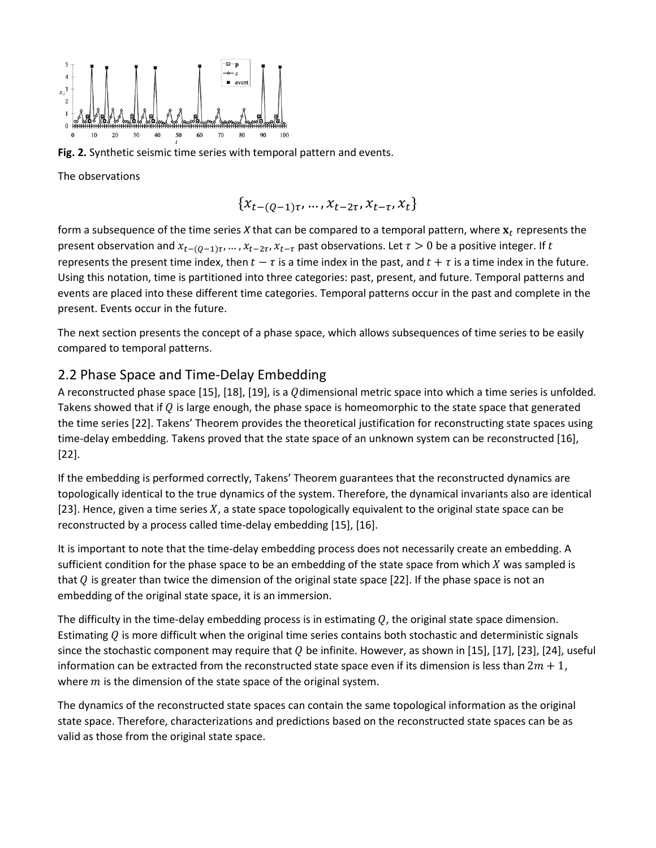

**Fig. 2.** Synthetic seismic time series with temporal pattern and events.

The observations

$$
\{x_{t-(Q-1)\tau},\ldots,x_{t-2\tau},x_{t-\tau},x_t\}
$$

form a subsequence of the time series  $X$  that can be compared to a temporal pattern, where  $\mathbf{x}_t$  represents the present observation and  $x_{t-(Q-1)\tau},...,x_{t-2\tau},x_{t-\tau}$  past observations. Let  $\tau > 0$  be a positive integer. If t represents the present time index, then  $t - \tau$  is a time index in the past, and  $t + \tau$  is a time index in the future. Using this notation, time is partitioned into three categories: past, present, and future. Temporal patterns and events are placed into these different time categories. Temporal patterns occur in the past and complete in the present. Events occur in the future.

The next section presents the concept of a phase space, which allows subsequences of time series to be easily compared to temporal patterns.

### 2.2 Phase Space and Time-Delay Embedding

A reconstructed phase space [15], [18], [19], is a  $Q$ dimensional metric space into which a time series is unfolded. Takens showed that if  $Q$  is large enough, the phase space is homeomorphic to the state space that generated the time series [22]. Takens' Theorem provides the theoretical justification for reconstructing state spaces using time-delay embedding. Takens proved that the state space of an unknown system can be reconstructed [16], [22].

If the embedding is performed correctly, Takens' Theorem guarantees that the reconstructed dynamics are topologically identical to the true dynamics of the system. Therefore, the dynamical invariants also are identical [23]. Hence, given a time series  $X$ , a state space topologically equivalent to the original state space can be reconstructed by a process called time-delay embedding [15], [16].

It is important to note that the time-delay embedding process does not necessarily create an embedding. A sufficient condition for the phase space to be an embedding of the state space from which  $X$  was sampled is that Q is greater than twice the dimension of the original state space [22]. If the phase space is not an embedding of the original state space, it is an immersion.

The difficulty in the time-delay embedding process is in estimating  $Q$ , the original state space dimension. Estimating  $Q$  is more difficult when the original time series contains both stochastic and deterministic signals since the stochastic component may require that  $Q$  be infinite. However, as shown in [15], [17], [23], [24], useful information can be extracted from the reconstructed state space even if its dimension is less than  $2m + 1$ , where  $m$  is the dimension of the state space of the original system.

The dynamics of the reconstructed state spaces can contain the same topological information as the original state space. Therefore, characterizations and predictions based on the reconstructed state spaces can be as valid as those from the original state space.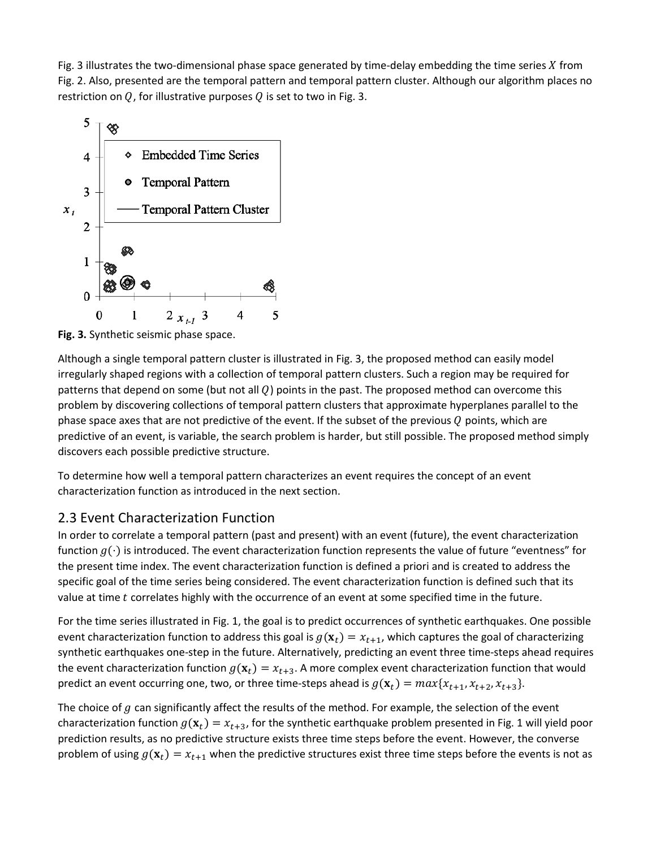Fig. 3 illustrates the two-dimensional phase space generated by time-delay embedding the time series  $X$  from Fig. 2. Also, presented are the temporal pattern and temporal pattern cluster. Although our algorithm places no restriction on  $Q$ , for illustrative purposes  $Q$  is set to two in Fig. 3.



**Fig. 3.** Synthetic seismic phase space.

Although a single temporal pattern cluster is illustrated in Fig. 3, the proposed method can easily model irregularly shaped regions with a collection of temporal pattern clusters. Such a region may be required for patterns that depend on some (but not all  $Q$ ) points in the past. The proposed method can overcome this problem by discovering collections of temporal pattern clusters that approximate hyperplanes parallel to the phase space axes that are not predictive of the event. If the subset of the previous  $Q$  points, which are predictive of an event, is variable, the search problem is harder, but still possible. The proposed method simply discovers each possible predictive structure.

To determine how well a temporal pattern characterizes an event requires the concept of an event characterization function as introduced in the next section.

# 2.3 Event Characterization Function

In order to correlate a temporal pattern (past and present) with an event (future), the event characterization function  $g(\cdot)$  is introduced. The event characterization function represents the value of future "eventness" for the present time index. The event characterization function is defined a priori and is created to address the specific goal of the time series being considered. The event characterization function is defined such that its value at time  $t$  correlates highly with the occurrence of an event at some specified time in the future.

For the time series illustrated in Fig. 1, the goal is to predict occurrences of synthetic earthquakes. One possible event characterization function to address this goal is  $g(\mathbf{x}_t) = x_{t+1}$ , which captures the goal of characterizing synthetic earthquakes one-step in the future. Alternatively, predicting an event three time-steps ahead requires the event characterization function  $g(\mathbf{x}_t) = x_{t+3}$ . A more complex event characterization function that would predict an event occurring one, two, or three time-steps ahead is  $g(\mathbf{x}_t) = max\{x_{t+1}, x_{t+2}, x_{t+3}\}.$ 

The choice of  $g$  can significantly affect the results of the method. For example, the selection of the event characterization function  $g(\mathbf{x}_t) = x_{t+3}$ , for the synthetic earthquake problem presented in Fig. 1 will yield poor prediction results, as no predictive structure exists three time steps before the event. However, the converse problem of using  $g(\mathbf{x}_t) = x_{t+1}$  when the predictive structures exist three time steps before the events is not as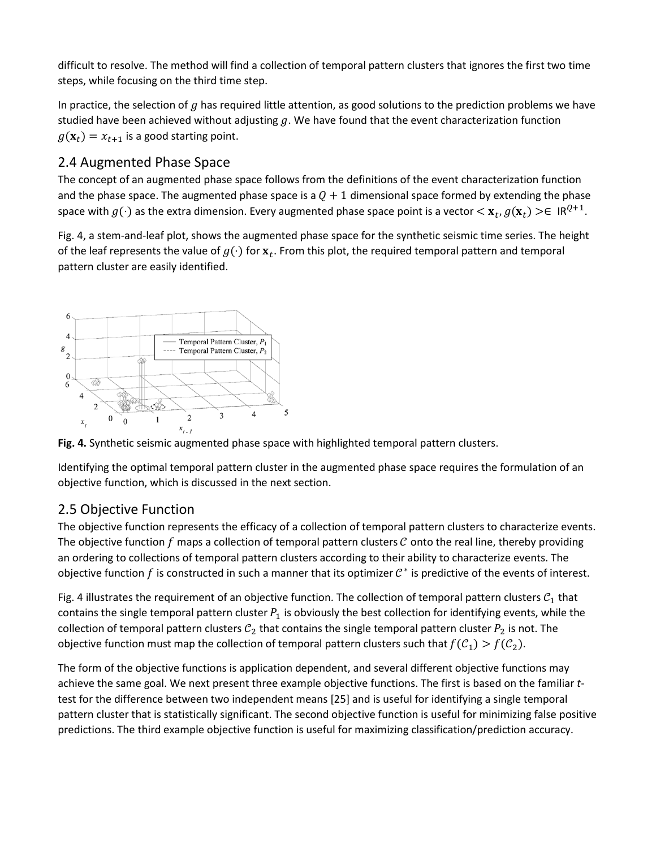difficult to resolve. The method will find a collection of temporal pattern clusters that ignores the first two time steps, while focusing on the third time step.

In practice, the selection of  $g$  has required little attention, as good solutions to the prediction problems we have studied have been achieved without adjusting  $g$ . We have found that the event characterization function  $g(\mathbf{x}_t) = x_{t+1}$  is a good starting point.

# 2.4 Augmented Phase Space

The concept of an augmented phase space follows from the definitions of the event characterization function and the phase space. The augmented phase space is a  $Q + 1$  dimensional space formed by extending the phase space with  $g(\cdot)$  as the extra dimension. Every augmented phase space point is a vector  $\langle x_t, g(x_t) \rangle \in \mathbb{R}^{Q+1}$ .

Fig. 4, a stem-and-leaf plot, shows the augmented phase space for the synthetic seismic time series. The height of the leaf represents the value of  $g(\cdot)$  for  $x_t$ . From this plot, the required temporal pattern and temporal pattern cluster are easily identified.



**Fig. 4.** Synthetic seismic augmented phase space with highlighted temporal pattern clusters.

Identifying the optimal temporal pattern cluster in the augmented phase space requires the formulation of an objective function, which is discussed in the next section.

### 2.5 Objective Function

The objective function represents the efficacy of a collection of temporal pattern clusters to characterize events. The objective function  $f$  maps a collection of temporal pattern clusters  $C$  onto the real line, thereby providing an ordering to collections of temporal pattern clusters according to their ability to characterize events. The objective function f is constructed in such a manner that its optimizer  $\mathcal{C}^*$  is predictive of the events of interest.

Fig. 4 illustrates the requirement of an objective function. The collection of temporal pattern clusters  $C_1$  that contains the single temporal pattern cluster  $P_1$  is obviously the best collection for identifying events, while the collection of temporal pattern clusters  $C_2$  that contains the single temporal pattern cluster  $P_2$  is not. The objective function must map the collection of temporal pattern clusters such that  $f(C_1) > f(C_2)$ .

The form of the objective functions is application dependent, and several different objective functions may achieve the same goal. We next present three example objective functions. The first is based on the familiar *t*test for the difference between two independent means [25] and is useful for identifying a single temporal pattern cluster that is statistically significant. The second objective function is useful for minimizing false positive predictions. The third example objective function is useful for maximizing classification/prediction accuracy.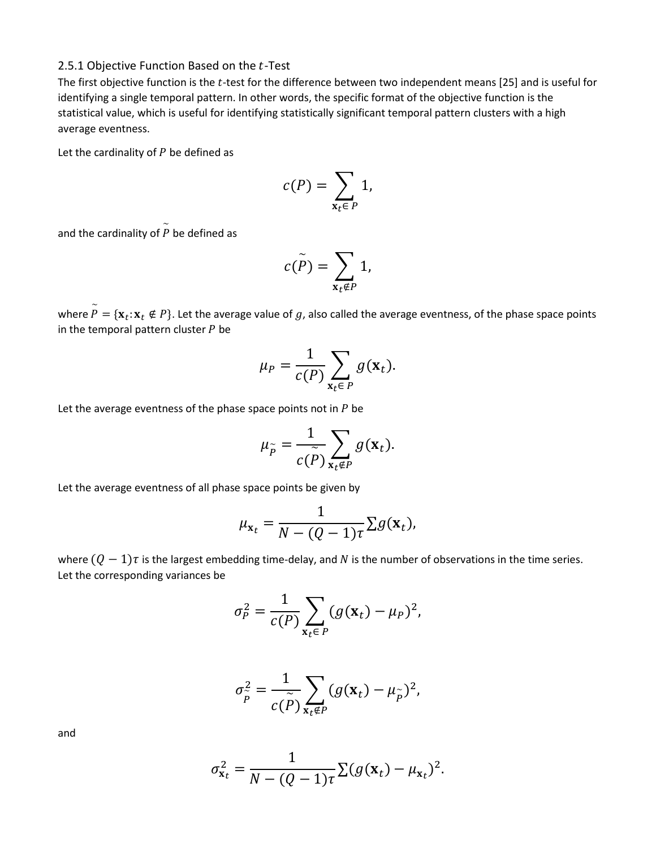#### 2.5.1 Objective Function Based on the  $t$ -Test

The first objective function is the  $t$ -test for the difference between two independent means [25] and is useful for identifying a single temporal pattern. In other words, the specific format of the objective function is the statistical value, which is useful for identifying statistically significant temporal pattern clusters with a high average eventness.

Let the cardinality of  $P$  be defined as

$$
c(P) = \sum_{\mathbf{x}_t \in P} 1,
$$

and the cardinality of  $\stackrel{\sim}{P}$  be defined as

$$
c(\widetilde{P})=\sum_{\mathbf{x}_t\notin P}1,
$$

where  $\widetilde{P}=\{\mathbf{x}_t\text{: } \mathbf{x}_t\notin P\}$ . Let the average value of  $g$ , also called the average eventness, of the phase space points in the temporal pattern cluster  $P$  be

$$
\mu_P = \frac{1}{c(P)} \sum_{\mathbf{x}_t \in P} g(\mathbf{x}_t).
$$

Let the average eventness of the phase space points not in  $P$  be

$$
\mu_{\widetilde{P}} = \frac{1}{c(\widetilde{P})} \sum_{\mathbf{x}_t \notin P} g(\mathbf{x}_t).
$$

Let the average eventness of all phase space points be given by

$$
\mu_{\mathbf{x}_t} = \frac{1}{N - (Q - 1)\tau} \Sigma g(\mathbf{x}_t),
$$

where  $(Q - 1)\tau$  is the largest embedding time-delay, and N is the number of observations in the time series. Let the corresponding variances be

$$
\sigma_P^2 = \frac{1}{c(P)} \sum_{\mathbf{x}_t \in P} (g(\mathbf{x}_t) - \mu_P)^2,
$$

$$
\sigma_{\widetilde{P}}^2 = \frac{1}{c(\widetilde{P})} \sum_{\mathbf{x}_t \notin P} (g(\mathbf{x}_t) - \mu_{\widetilde{P}})^2,
$$

and

$$
\sigma_{\mathbf{x}_t}^2 = \frac{1}{N - (Q - 1)\tau} \sum (g(\mathbf{x}_t) - \mu_{\mathbf{x}_t})^2.
$$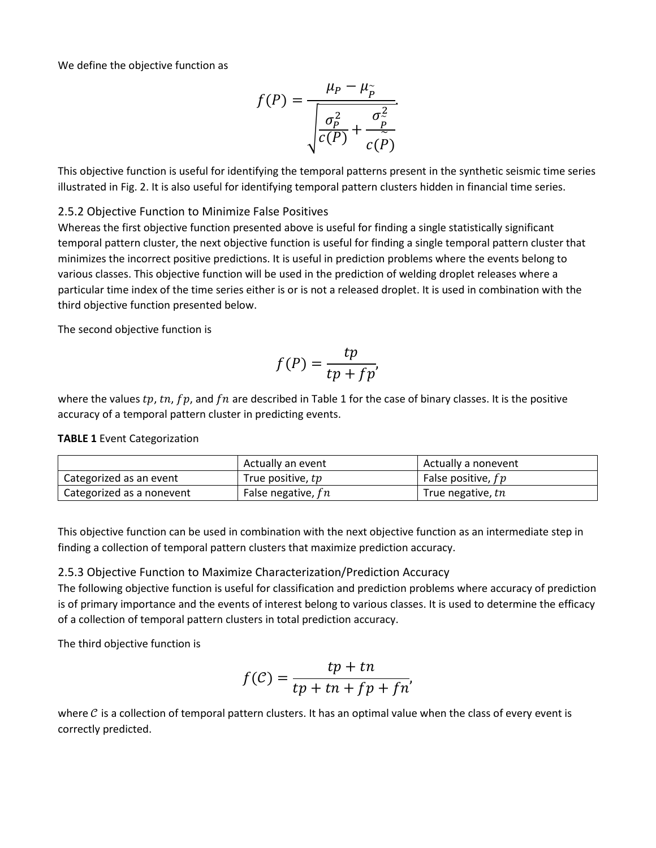We define the objective function as

$$
f(P) = \frac{\mu_P - \mu_{\widetilde{P}}}{\sqrt{\frac{\sigma_P^2}{c(P)} + \frac{\sigma_P^2}{c(\widetilde{P})}}}
$$

This objective function is useful for identifying the temporal patterns present in the synthetic seismic time series illustrated in Fig. 2. It is also useful for identifying temporal pattern clusters hidden in financial time series.

### 2.5.2 Objective Function to Minimize False Positives

Whereas the first objective function presented above is useful for finding a single statistically significant temporal pattern cluster, the next objective function is useful for finding a single temporal pattern cluster that minimizes the incorrect positive predictions. It is useful in prediction problems where the events belong to various classes. This objective function will be used in the prediction of welding droplet releases where a particular time index of the time series either is or is not a released droplet. It is used in combination with the third objective function presented below.

The second objective function is

$$
f(P) = \frac{tp}{tp + fp'}
$$

where the values  $tp$ ,  $tn$ ,  $fp$ , and  $fn$  are described in Table 1 for the case of binary classes. It is the positive accuracy of a temporal pattern cluster in predicting events.

### **TABLE 1** Event Categorization

|                           | Actually an event<br>Actually a nonevent |                      |
|---------------------------|------------------------------------------|----------------------|
| Categorized as an event   | True positive, tp                        | False positive, $fp$ |
| Categorized as a nonevent | False negative, $fn$                     | True negative, tn    |

This objective function can be used in combination with the next objective function as an intermediate step in finding a collection of temporal pattern clusters that maximize prediction accuracy.

### 2.5.3 Objective Function to Maximize Characterization/Prediction Accuracy

The following objective function is useful for classification and prediction problems where accuracy of prediction is of primary importance and the events of interest belong to various classes. It is used to determine the efficacy of a collection of temporal pattern clusters in total prediction accuracy.

The third objective function is

$$
f(C) = \frac{tp + tn}{tp + tn + fp + fn'}
$$

where  $C$  is a collection of temporal pattern clusters. It has an optimal value when the class of every event is correctly predicted.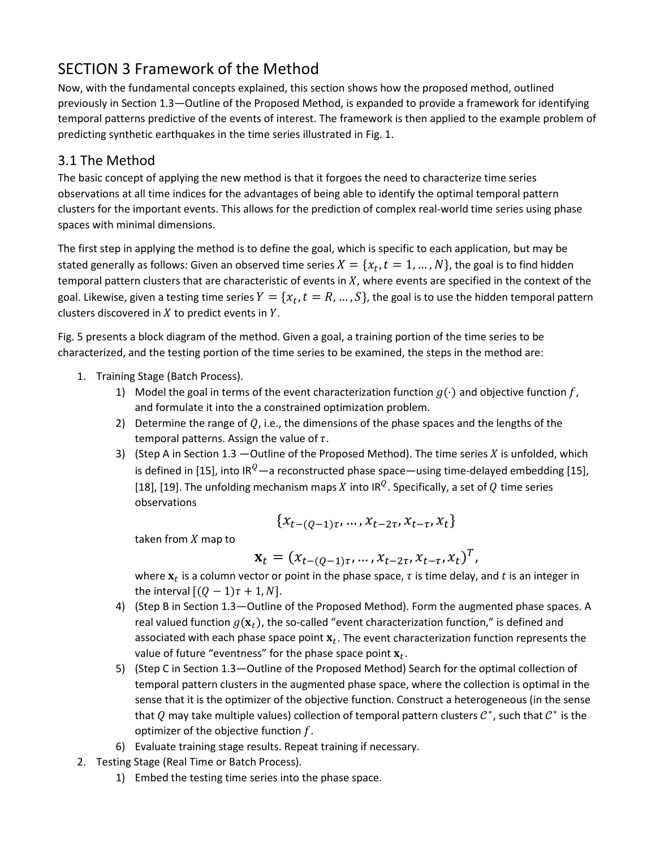# SECTION 3 Framework of the Method

Now, with the fundamental concepts explained, this section shows how the proposed method, outlined previously in Section 1.3—Outline of the Proposed Method, is expanded to provide a framework for identifying temporal patterns predictive of the events of interest. The framework is then applied to the example problem of predicting synthetic earthquakes in the time series illustrated in Fig. 1.

# 3.1 The Method

The basic concept of applying the new method is that it forgoes the need to characterize time series observations at all time indices for the advantages of being able to identify the optimal temporal pattern clusters for the important events. This allows for the prediction of complex real-world time series using phase spaces with minimal dimensions.

The first step in applying the method is to define the goal, which is specific to each application, but may be stated generally as follows: Given an observed time series  $X = \{x_t, t = 1, ..., N\}$ , the goal is to find hidden temporal pattern clusters that are characteristic of events in  $X$ , where events are specified in the context of the goal. Likewise, given a testing time series  $Y = \{x_t, t = R, ..., S\}$ , the goal is to use the hidden temporal pattern clusters discovered in  $X$  to predict events in  $Y$ .

Fig. 5 presents a block diagram of the method. Given a goal, a training portion of the time series to be characterized, and the testing portion of the time series to be examined, the steps in the method are:

- 1. Training Stage (Batch Process).
	- 1) Model the goal in terms of the event characterization function  $g(\cdot)$  and objective function f, and formulate it into the a constrained optimization problem.
	- 2) Determine the range of  $Q$ , i.e., the dimensions of the phase spaces and the lengths of the temporal patterns. Assign the value of  $\tau$ .
	- 3) (Step A in Section 1.3 —Outline of the Proposed Method). The time series  $X$  is unfolded, which is defined in [15], into IR<sup>Q</sup>—a reconstructed phase space—using time-delayed embedding [15], [18], [19]. The unfolding mechanism maps X into IR<sup>Q</sup>. Specifically, a set of Q time series observations

$$
\{x_{t-(Q-1)\tau},\ldots,x_{t-2\tau},x_{t-\tau},x_t\}
$$

taken from  $X$  map to

$$
\mathbf{x}_t = (x_{t-(Q-1)\tau}, \dots, x_{t-2\tau}, x_{t-\tau}, x_t)^T,
$$

where  $x_t$  is a column vector or point in the phase space,  $\tau$  is time delay, and  $t$  is an integer in the interval  $[(Q - 1)\tau + 1, N]$ .

- 4) (Step B in Section 1.3—Outline of the Proposed Method). Form the augmented phase spaces. A real valued function  $g(\mathbf{x}_t)$ , the so-called "event characterization function," is defined and associated with each phase space point  $x_t$ . The event characterization function represents the value of future "eventness" for the phase space point  $x_t$ .
- 5) (Step C in Section 1.3—Outline of the Proposed Method) Search for the optimal collection of temporal pattern clusters in the augmented phase space, where the collection is optimal in the sense that it is the optimizer of the objective function. Construct a heterogeneous (in the sense that Q may take multiple values) collection of temporal pattern clusters  $c^*$ , such that  $c^*$  is the optimizer of the objective function  $f$ .
- 6) Evaluate training stage results. Repeat training if necessary.
- 2. Testing Stage (Real Time or Batch Process).
	- 1) Embed the testing time series into the phase space.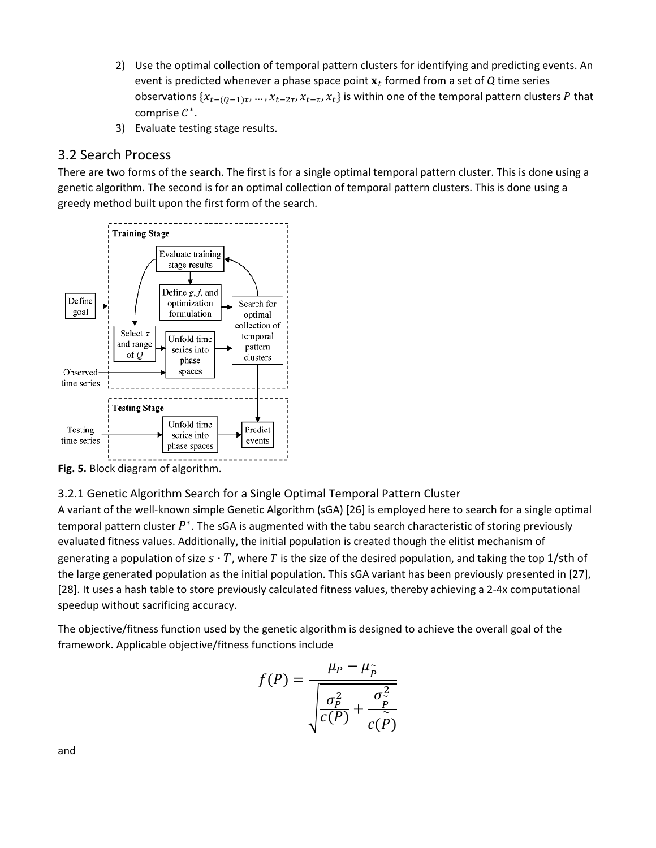- 2) Use the optimal collection of temporal pattern clusters for identifying and predicting events. An event is predicted whenever a phase space point  $x_t$  formed from a set of  $Q$  time series observations  $\{x_{t-(0-1)\tau}, ..., x_{t-2\tau}, x_{t-\tau}, x_t\}$  is within one of the temporal pattern clusters P that comprise  $C^*$ .
- 3) Evaluate testing stage results.

## 3.2 Search Process

There are two forms of the search. The first is for a single optimal temporal pattern cluster. This is done using a genetic algorithm. The second is for an optimal collection of temporal pattern clusters. This is done using a greedy method built upon the first form of the search.



**Fig. 5.** Block diagram of algorithm.

### 3.2.1 Genetic Algorithm Search for a Single Optimal Temporal Pattern Cluster

A variant of the well-known simple Genetic Algorithm (sGA) [26] is employed here to search for a single optimal temporal pattern cluster  $P^*$ . The sGA is augmented with the tabu search characteristic of storing previously evaluated fitness values. Additionally, the initial population is created though the elitist mechanism of generating a population of size  $s \cdot T$ , where T is the size of the desired population, and taking the top 1/sth of the large generated population as the initial population. This sGA variant has been previously presented in [27], [28]. It uses a hash table to store previously calculated fitness values, thereby achieving a 2-4x computational speedup without sacrificing accuracy.

The objective/fitness function used by the genetic algorithm is designed to achieve the overall goal of the framework. Applicable objective/fitness functions include

$$
f(P) = \frac{\mu_P - \mu_{\widetilde{P}}}{\sqrt{\frac{\sigma_P^2}{c(P)} + \frac{\sigma_{\widetilde{P}}^2}{c(\widetilde{P})}}}
$$

and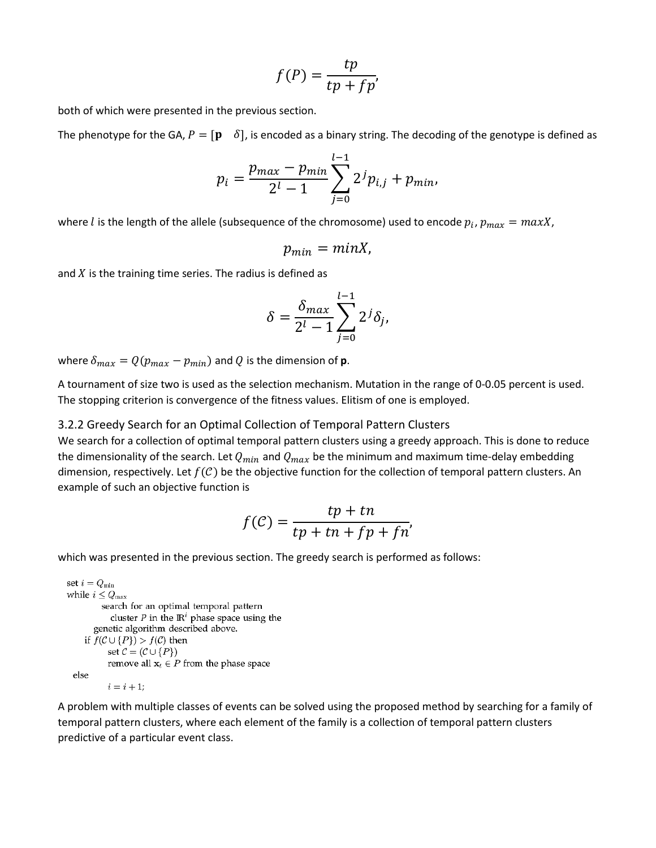$$
f(P) = \frac{tp}{tp + fp'}
$$

both of which were presented in the previous section.

The phenotype for the GA,  $P = [\mathbf{p} \quad \delta]$ , is encoded as a binary string. The decoding of the genotype is defined as

$$
p_i = \frac{p_{max} - p_{min}}{2^l - 1} \sum_{j=0}^{l-1} 2^j p_{i,j} + p_{min},
$$

where *l* is the length of the allele (subsequence of the chromosome) used to encode  $p_i$ ,  $p_{max} = maxX$ ,

$$
p_{min}=minX,
$$

and  $X$  is the training time series. The radius is defined as

$$
\delta = \frac{\delta_{max}}{2^l - 1} \sum_{j=0}^{l-1} 2^j \delta_j,
$$

where  $\delta_{max} = Q(p_{max} - p_{min})$  and Q is the dimension of **p**.

A tournament of size two is used as the selection mechanism. Mutation in the range of 0-0.05 percent is used. The stopping criterion is convergence of the fitness values. Elitism of one is employed.

3.2.2 Greedy Search for an Optimal Collection of Temporal Pattern Clusters

We search for a collection of optimal temporal pattern clusters using a greedy approach. This is done to reduce the dimensionality of the search. Let  $Q_{min}$  and  $Q_{max}$  be the minimum and maximum time-delay embedding dimension, respectively. Let  $f(C)$  be the objective function for the collection of temporal pattern clusters. An example of such an objective function is

$$
f(\mathcal{C}) = \frac{tp + tn}{tp + tn + fp + fn'}
$$

which was presented in the previous section. The greedy search is performed as follows:

```
set i = Q_{\min}while i\leq Q_{\rm max}search for an optimal temporal pattern
          cluster P in the \mathbb{R}^i phase space using the
     genetic algorithm described above.
   if f(C \cup \{P\}) > f(C) then
         set \mathcal{C} = (\mathcal{C} \cup \{P\})remove all x_t \in P from the phase space
else
          i=i+1;
```
A problem with multiple classes of events can be solved using the proposed method by searching for a family of temporal pattern clusters, where each element of the family is a collection of temporal pattern clusters predictive of a particular event class.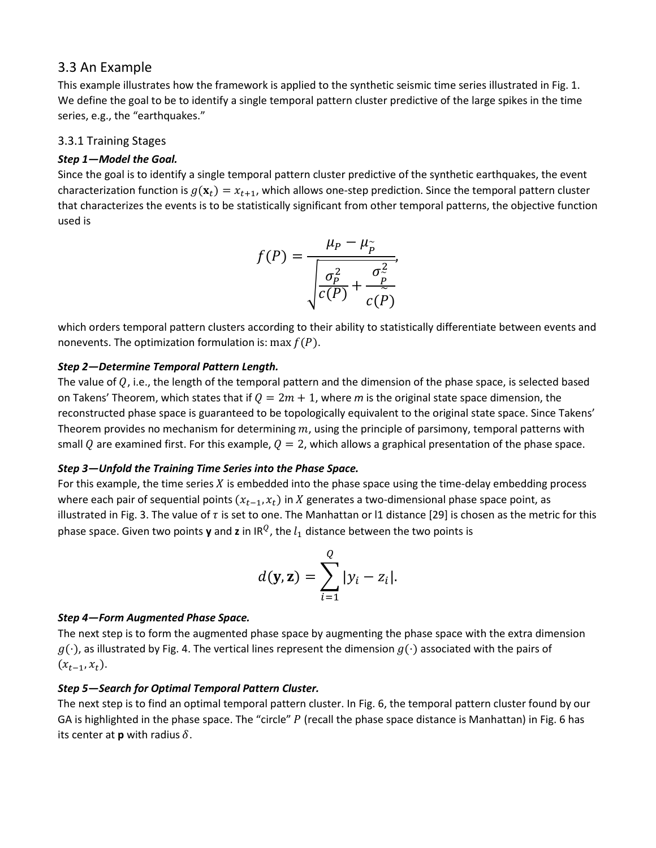### 3.3 An Example

This example illustrates how the framework is applied to the synthetic seismic time series illustrated in Fig. 1. We define the goal to be to identify a single temporal pattern cluster predictive of the large spikes in the time series, e.g., the "earthquakes."

### 3.3.1 Training Stages

### *Step 1—Model the Goal.*

Since the goal is to identify a single temporal pattern cluster predictive of the synthetic earthquakes, the event characterization function is  $g(\mathbf{x}_t) = x_{t+1}$ , which allows one-step prediction. Since the temporal pattern cluster that characterizes the events is to be statistically significant from other temporal patterns, the objective function used is

$$
f(P) = \frac{\mu_P - \mu_{\widetilde{P}}}{\sqrt{\frac{\sigma_P^2}{c(P)} + \frac{\sigma_{\widetilde{P}}^2}{c(P)}}},
$$

which orders temporal pattern clusters according to their ability to statistically differentiate between events and nonevents. The optimization formulation is: max  $f(P)$ .

#### *Step 2—Determine Temporal Pattern Length.*

The value of  $Q$ , i.e., the length of the temporal pattern and the dimension of the phase space, is selected based on Takens' Theorem, which states that if  $Q = 2m + 1$ , where m is the original state space dimension, the reconstructed phase space is guaranteed to be topologically equivalent to the original state space. Since Takens' Theorem provides no mechanism for determining  $m$ , using the principle of parsimony, temporal patterns with small Q are examined first. For this example,  $Q = 2$ , which allows a graphical presentation of the phase space.

#### *Step 3—Unfold the Training Time Series into the Phase Space.*

For this example, the time series  $X$  is embedded into the phase space using the time-delay embedding process where each pair of sequential points  $(x_{t-1}, x_t)$  in X generates a two-dimensional phase space point, as illustrated in Fig. 3. The value of  $\tau$  is set to one. The Manhattan or l1 distance [29] is chosen as the metric for this phase space. Given two points **y** and **z** in IR<sup>Q</sup>, the  $l_1$  distance between the two points is

$$
d(\mathbf{y}, \mathbf{z}) = \sum_{i=1}^{Q} |y_i - z_i|.
$$

#### *Step 4—Form Augmented Phase Space.*

The next step is to form the augmented phase space by augmenting the phase space with the extra dimension  $g(\cdot)$ , as illustrated by Fig. 4. The vertical lines represent the dimension  $g(\cdot)$  associated with the pairs of  $(x_{t-1}, x_t)$ .

### *Step 5—Search for Optimal Temporal Pattern Cluster.*

The next step is to find an optimal temporal pattern cluster. In Fig. 6, the temporal pattern cluster found by our GA is highlighted in the phase space. The "circle"  $P$  (recall the phase space distance is Manhattan) in Fig. 6 has its center at **p** with radius  $\delta$ .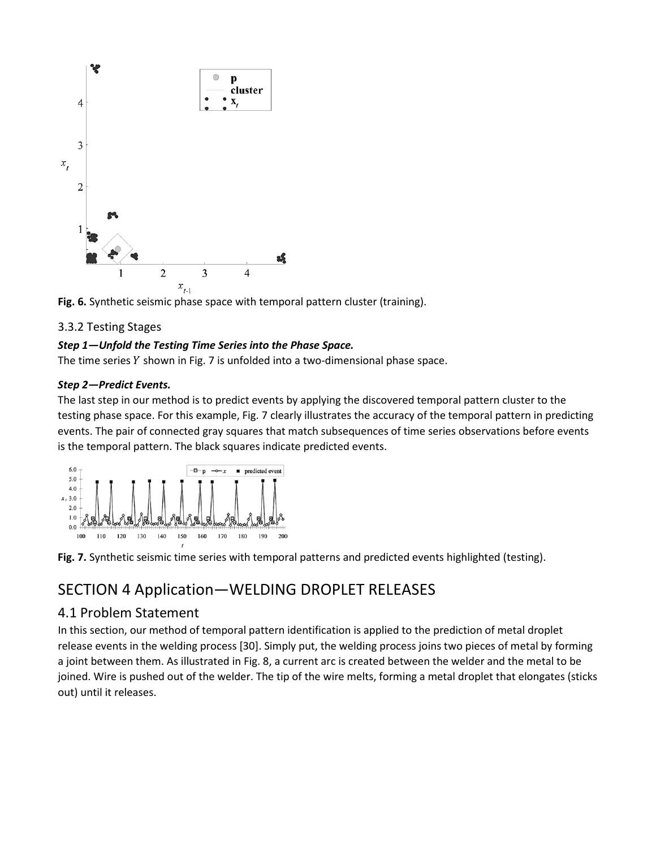



### 3.3.2 Testing Stages

### *Step 1—Unfold the Testing Time Series into the Phase Space.*

The time series  $Y$  shown in Fig. 7 is unfolded into a two-dimensional phase space.

#### *Step 2—Predict Events.*

The last step in our method is to predict events by applying the discovered temporal pattern cluster to the testing phase space. For this example, Fig. 7 clearly illustrates the accuracy of the temporal pattern in predicting events. The pair of connected gray squares that match subsequences of time series observations before events is the temporal pattern. The black squares indicate predicted events.





# SECTION 4 Application—WELDING DROPLET RELEASES

### 4.1 Problem Statement

In this section, our method of temporal pattern identification is applied to the prediction of metal droplet release events in the welding process [30]. Simply put, the welding process joins two pieces of metal by forming a joint between them. As illustrated in Fig. 8, a current arc is created between the welder and the metal to be joined. Wire is pushed out of the welder. The tip of the wire melts, forming a metal droplet that elongates (sticks out) until it releases.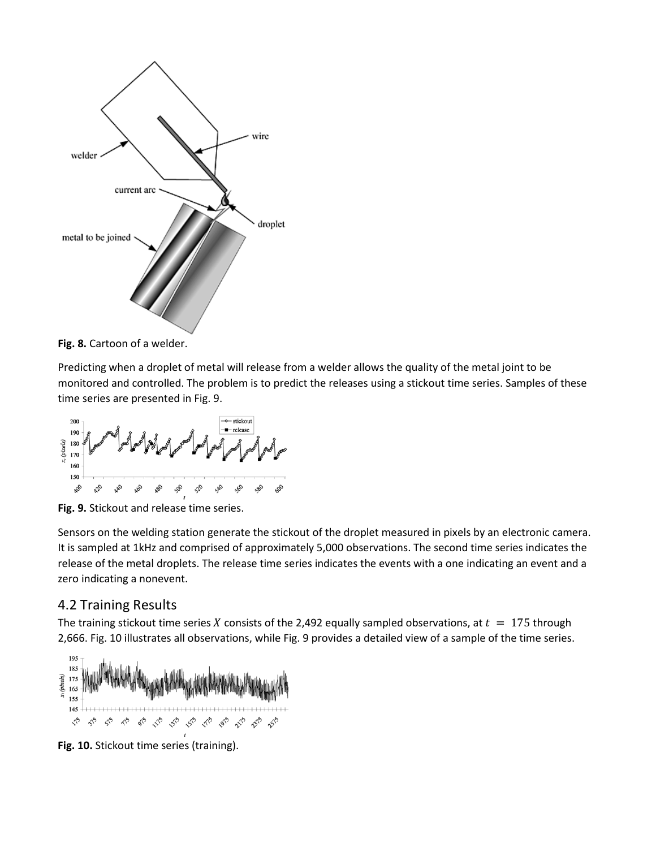

Fig. 8. Cartoon of a welder.

Predicting when a droplet of metal will release from a welder allows the quality of the metal joint to be monitored and controlled. The problem is to predict the releases using a stickout time series. Samples of these time series are presented in Fig. 9.



**Fig. 9.** Stickout and release time series.

Sensors on the welding station generate the stickout of the droplet measured in pixels by an electronic camera. It is sampled at 1kHz and comprised of approximately 5,000 observations. The second time series indicates the release of the metal droplets. The release time series indicates the events with a one indicating an event and a zero indicating a nonevent.

### 4.2 Training Results

The training stickout time series X consists of the 2,492 equally sampled observations, at  $t = 175$  through 2,666. Fig. 10 illustrates all observations, while Fig. 9 provides a detailed view of a sample of the time series.



**Fig. 10.** Stickout time series (training).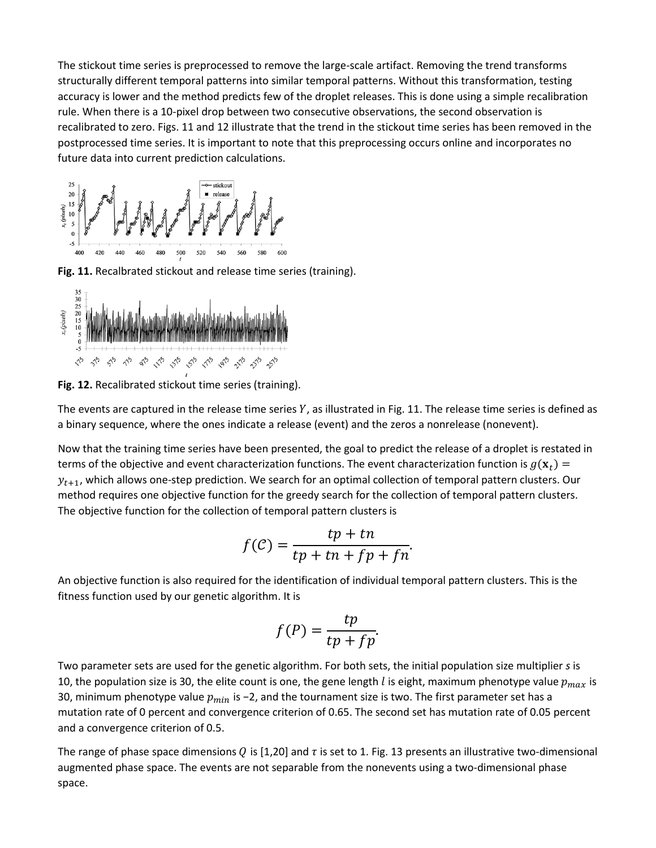The stickout time series is preprocessed to remove the large-scale artifact. Removing the trend transforms structurally different temporal patterns into similar temporal patterns. Without this transformation, testing accuracy is lower and the method predicts few of the droplet releases. This is done using a simple recalibration rule. When there is a 10-pixel drop between two consecutive observations, the second observation is recalibrated to zero. Figs. 11 and 12 illustrate that the trend in the stickout time series has been removed in the postprocessed time series. It is important to note that this preprocessing occurs online and incorporates no future data into current prediction calculations.



**Fig. 11.** Recalbrated stickout and release time series (training).



**Fig. 12.** Recalibrated stickout time series (training).

The events are captured in the release time series  $Y$ , as illustrated in Fig. 11. The release time series is defined as a binary sequence, where the ones indicate a release (event) and the zeros a nonrelease (nonevent).

Now that the training time series have been presented, the goal to predict the release of a droplet is restated in terms of the objective and event characterization functions. The event characterization function is  $g(\mathbf{x}_t)$  =  $y_{t+1}$ , which allows one-step prediction. We search for an optimal collection of temporal pattern clusters. Our method requires one objective function for the greedy search for the collection of temporal pattern clusters. The objective function for the collection of temporal pattern clusters is

$$
f(\mathcal{C}) = \frac{tp + tn}{tp + tn + fp + fn}.
$$

An objective function is also required for the identification of individual temporal pattern clusters. This is the fitness function used by our genetic algorithm. It is

$$
f(P) = \frac{tp}{tp + fp}.
$$

Two parameter sets are used for the genetic algorithm. For both sets, the initial population size multiplier *s* is 10, the population size is 30, the elite count is one, the gene length *l* is eight, maximum phenotype value  $p_{max}$  is 30, minimum phenotype value  $p_{min}$  is −2, and the tournament size is two. The first parameter set has a mutation rate of 0 percent and convergence criterion of 0.65. The second set has mutation rate of 0.05 percent and a convergence criterion of 0.5.

The range of phase space dimensions Q is [1,20] and  $\tau$  is set to 1. Fig. 13 presents an illustrative two-dimensional augmented phase space. The events are not separable from the nonevents using a two-dimensional phase space.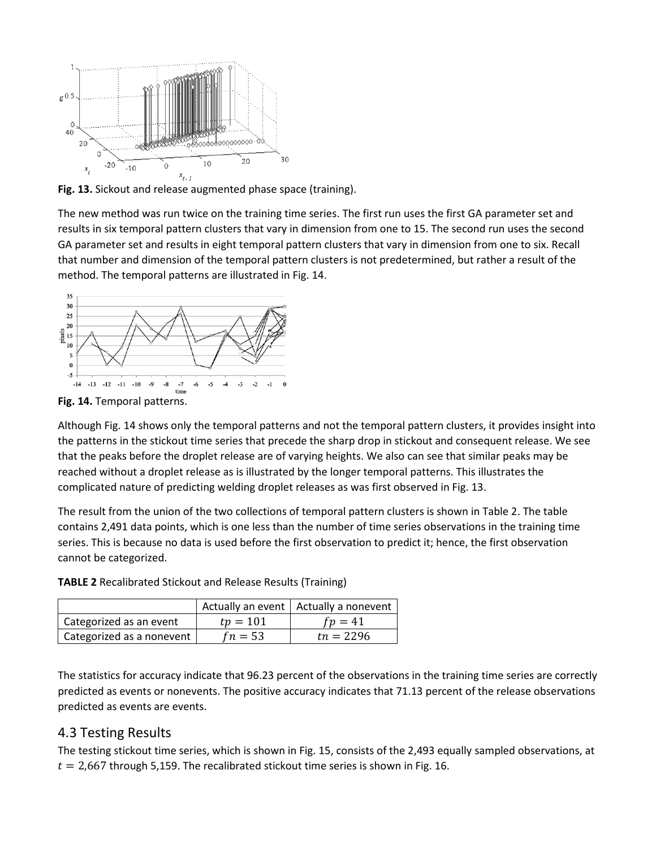

**Fig. 13.** Sickout and release augmented phase space (training).

The new method was run twice on the training time series. The first run uses the first GA parameter set and results in six temporal pattern clusters that vary in dimension from one to 15. The second run uses the second GA parameter set and results in eight temporal pattern clusters that vary in dimension from one to six. Recall that number and dimension of the temporal pattern clusters is not predetermined, but rather a result of the method. The temporal patterns are illustrated in Fig. 14.



**Fig. 14.** Temporal patterns.

Although Fig. 14 shows only the temporal patterns and not the temporal pattern clusters, it provides insight into the patterns in the stickout time series that precede the sharp drop in stickout and consequent release. We see that the peaks before the droplet release are of varying heights. We also can see that similar peaks may be reached without a droplet release as is illustrated by the longer temporal patterns. This illustrates the complicated nature of predicting welding droplet releases as was first observed in Fig. 13.

The result from the union of the two collections of temporal pattern clusters is shown in Table 2. The table contains 2,491 data points, which is one less than the number of time series observations in the training time series. This is because no data is used before the first observation to predict it; hence, the first observation cannot be categorized.

|                           |            | Actually an event   Actually a nonevent |
|---------------------------|------------|-----------------------------------------|
| Categorized as an event   | $tp = 101$ | $fp=41$                                 |
| Categorized as a nonevent | $fn = 53$  | $tn = 2296$                             |

**TABLE 2** Recalibrated Stickout and Release Results (Training)

The statistics for accuracy indicate that 96.23 percent of the observations in the training time series are correctly predicted as events or nonevents. The positive accuracy indicates that 71.13 percent of the release observations predicted as events are events.

### 4.3 Testing Results

The testing stickout time series, which is shown in Fig. 15, consists of the 2,493 equally sampled observations, at  $t = 2,667$  through 5,159. The recalibrated stickout time series is shown in Fig. 16.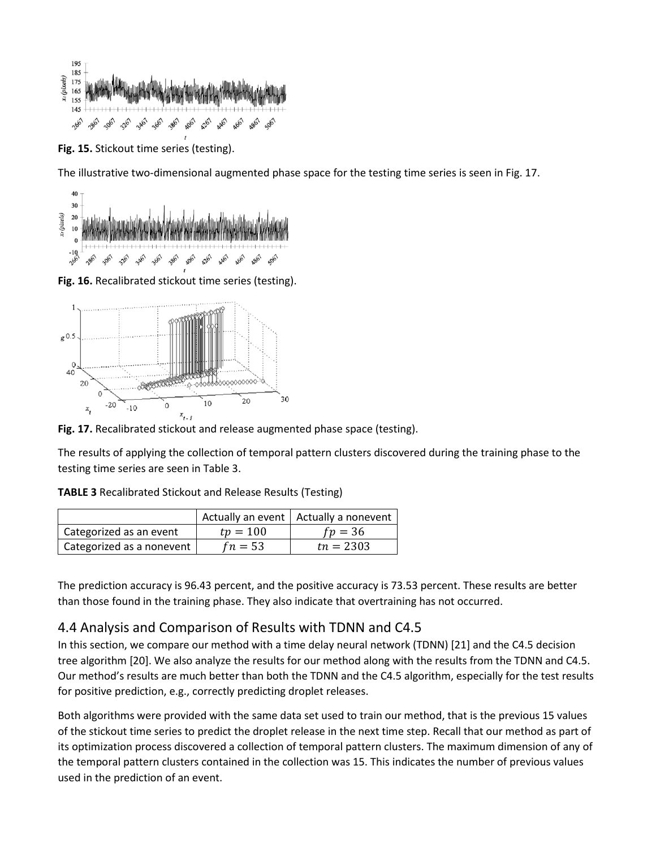

**Fig. 15.** Stickout time series (testing).

The illustrative two-dimensional augmented phase space for the testing time series is seen in Fig. 17.



**Fig. 16.** Recalibrated stickout time series (testing).



**Fig. 17.** Recalibrated stickout and release augmented phase space (testing).

The results of applying the collection of temporal pattern clusters discovered during the training phase to the testing time series are seen in Table 3.

|                         |            | Actually an event   Actually a nonevent |
|-------------------------|------------|-----------------------------------------|
| Categorized as an event | $tp = 100$ | $fv = 36$                               |
|                         |            |                                         |

| Categorized as a nonevent |  $fn = 53$  |  $tn = 2303$ 

**TABLE 3** Recalibrated Stickout and Release Results (Testing)

The prediction accuracy is 96.43 percent, and the positive accuracy is 73.53 percent. These results are better than those found in the training phase. They also indicate that overtraining has not occurred.

### 4.4 Analysis and Comparison of Results with TDNN and C4.5

In this section, we compare our method with a time delay neural network (TDNN) [21] and the C4.5 decision tree algorithm [20]. We also analyze the results for our method along with the results from the TDNN and C4.5. Our method's results are much better than both the TDNN and the C4.5 algorithm, especially for the test results for positive prediction, e.g., correctly predicting droplet releases.

Both algorithms were provided with the same data set used to train our method, that is the previous 15 values of the stickout time series to predict the droplet release in the next time step. Recall that our method as part of its optimization process discovered a collection of temporal pattern clusters. The maximum dimension of any of the temporal pattern clusters contained in the collection was 15. This indicates the number of previous values used in the prediction of an event.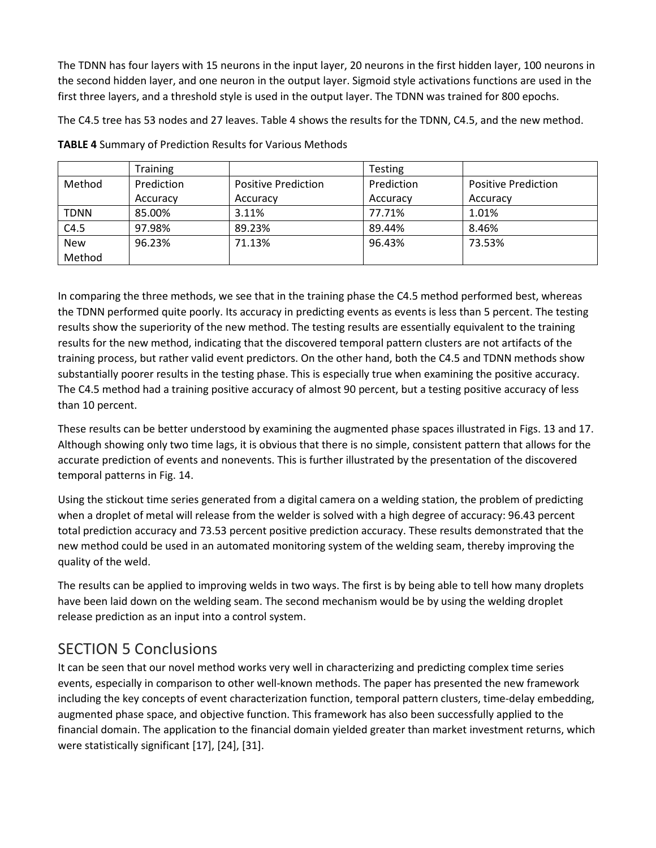The TDNN has four layers with 15 neurons in the input layer, 20 neurons in the first hidden layer, 100 neurons in the second hidden layer, and one neuron in the output layer. Sigmoid style activations functions are used in the first three layers, and a threshold style is used in the output layer. The TDNN was trained for 800 epochs.

The C4.5 tree has 53 nodes and 27 leaves. Table 4 shows the results for the TDNN, C4.5, and the new method.

|             | <b>Training</b> |                            | <b>Testing</b> |                            |
|-------------|-----------------|----------------------------|----------------|----------------------------|
| Method      | Prediction      | <b>Positive Prediction</b> | Prediction     | <b>Positive Prediction</b> |
|             | Accuracy        | Accuracy                   | Accuracy       | Accuracy                   |
| <b>TDNN</b> | 85.00%          | 3.11%                      | 77.71%         | 1.01%                      |
| C4.5        | 97.98%          | 89.23%                     | 89.44%         | 8.46%                      |
| <b>New</b>  | 96.23%          | 71.13%                     | 96.43%         | 73.53%                     |
| Method      |                 |                            |                |                            |

**TABLE 4** Summary of Prediction Results for Various Methods

In comparing the three methods, we see that in the training phase the C4.5 method performed best, whereas the TDNN performed quite poorly. Its accuracy in predicting events as events is less than 5 percent. The testing results show the superiority of the new method. The testing results are essentially equivalent to the training results for the new method, indicating that the discovered temporal pattern clusters are not artifacts of the training process, but rather valid event predictors. On the other hand, both the C4.5 and TDNN methods show substantially poorer results in the testing phase. This is especially true when examining the positive accuracy. The C4.5 method had a training positive accuracy of almost 90 percent, but a testing positive accuracy of less than 10 percent.

These results can be better understood by examining the augmented phase spaces illustrated in Figs. 13 and 17. Although showing only two time lags, it is obvious that there is no simple, consistent pattern that allows for the accurate prediction of events and nonevents. This is further illustrated by the presentation of the discovered temporal patterns in Fig. 14.

Using the stickout time series generated from a digital camera on a welding station, the problem of predicting when a droplet of metal will release from the welder is solved with a high degree of accuracy: 96.43 percent total prediction accuracy and 73.53 percent positive prediction accuracy. These results demonstrated that the new method could be used in an automated monitoring system of the welding seam, thereby improving the quality of the weld.

The results can be applied to improving welds in two ways. The first is by being able to tell how many droplets have been laid down on the welding seam. The second mechanism would be by using the welding droplet release prediction as an input into a control system.

# SECTION 5 Conclusions

It can be seen that our novel method works very well in characterizing and predicting complex time series events, especially in comparison to other well-known methods. The paper has presented the new framework including the key concepts of event characterization function, temporal pattern clusters, time-delay embedding, augmented phase space, and objective function. This framework has also been successfully applied to the financial domain. The application to the financial domain yielded greater than market investment returns, which were statistically significant [17], [24], [31].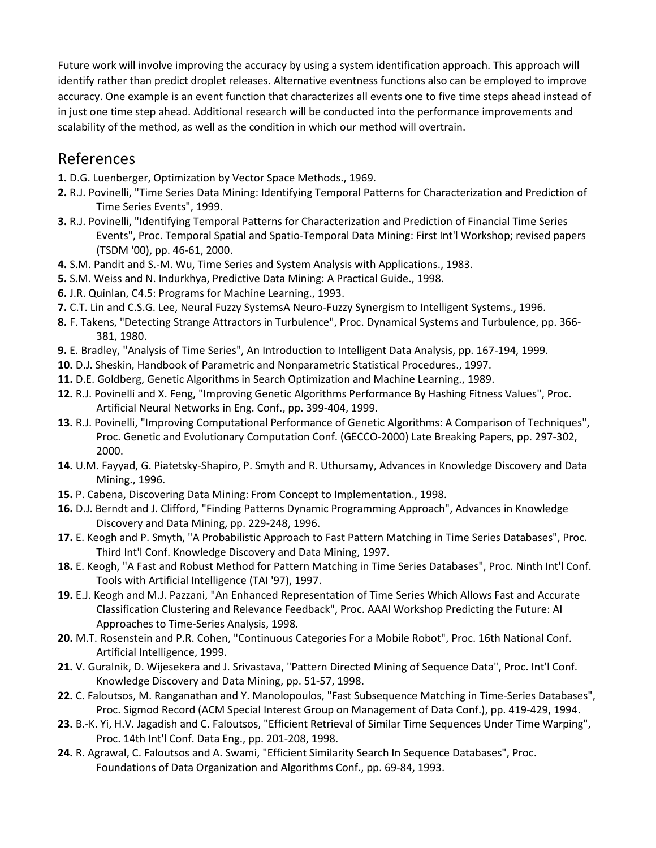Future work will involve improving the accuracy by using a system identification approach. This approach will identify rather than predict droplet releases. Alternative eventness functions also can be employed to improve accuracy. One example is an event function that characterizes all events one to five time steps ahead instead of in just one time step ahead. Additional research will be conducted into the performance improvements and scalability of the method, as well as the condition in which our method will overtrain.

# References

- **1.** D.G. Luenberger, Optimization by Vector Space Methods., 1969.
- **2.** R.J. Povinelli, "Time Series Data Mining: Identifying Temporal Patterns for Characterization and Prediction of Time Series Events", 1999.
- **3.** R.J. Povinelli, "Identifying Temporal Patterns for Characterization and Prediction of Financial Time Series Events", Proc. Temporal Spatial and Spatio-Temporal Data Mining: First Int'l Workshop; revised papers (TSDM '00), pp. 46-61, 2000.
- **4.** S.M. Pandit and S.-M. Wu, Time Series and System Analysis with Applications., 1983.
- **5.** S.M. Weiss and N. Indurkhya, Predictive Data Mining: A Practical Guide., 1998.
- **6.** J.R. Quinlan, C4.5: Programs for Machine Learning., 1993.
- **7.** C.T. Lin and C.S.G. Lee, Neural Fuzzy SystemsA Neuro-Fuzzy Synergism to Intelligent Systems., 1996.
- **8.** F. Takens, "Detecting Strange Attractors in Turbulence", Proc. Dynamical Systems and Turbulence, pp. 366- 381, 1980.
- **9.** E. Bradley, "Analysis of Time Series", An Introduction to Intelligent Data Analysis, pp. 167-194, 1999.
- **10.** D.J. Sheskin, Handbook of Parametric and Nonparametric Statistical Procedures., 1997.
- **11.** D.E. Goldberg, Genetic Algorithms in Search Optimization and Machine Learning., 1989.
- **12.** R.J. Povinelli and X. Feng, "Improving Genetic Algorithms Performance By Hashing Fitness Values", Proc. Artificial Neural Networks in Eng. Conf., pp. 399-404, 1999.
- **13.** R.J. Povinelli, "Improving Computational Performance of Genetic Algorithms: A Comparison of Techniques", Proc. Genetic and Evolutionary Computation Conf. (GECCO-2000) Late Breaking Papers, pp. 297-302, 2000.
- **14.** U.M. Fayyad, G. Piatetsky-Shapiro, P. Smyth and R. Uthursamy, Advances in Knowledge Discovery and Data Mining., 1996.
- **15.** P. Cabena, Discovering Data Mining: From Concept to Implementation., 1998.
- **16.** D.J. Berndt and J. Clifford, "Finding Patterns Dynamic Programming Approach", Advances in Knowledge Discovery and Data Mining, pp. 229-248, 1996.
- **17.** E. Keogh and P. Smyth, "A Probabilistic Approach to Fast Pattern Matching in Time Series Databases", Proc. Third Int'l Conf. Knowledge Discovery and Data Mining, 1997.
- **18.** E. Keogh, "A Fast and Robust Method for Pattern Matching in Time Series Databases", Proc. Ninth Int'l Conf. Tools with Artificial Intelligence (TAI '97), 1997.
- **19.** E.J. Keogh and M.J. Pazzani, "An Enhanced Representation of Time Series Which Allows Fast and Accurate Classification Clustering and Relevance Feedback", Proc. AAAI Workshop Predicting the Future: AI Approaches to Time-Series Analysis, 1998.
- **20.** M.T. Rosenstein and P.R. Cohen, "Continuous Categories For a Mobile Robot", Proc. 16th National Conf. Artificial Intelligence, 1999.
- **21.** V. Guralnik, D. Wijesekera and J. Srivastava, "Pattern Directed Mining of Sequence Data", Proc. Int'l Conf. Knowledge Discovery and Data Mining, pp. 51-57, 1998.
- **22.** C. Faloutsos, M. Ranganathan and Y. Manolopoulos, "Fast Subsequence Matching in Time-Series Databases", Proc. Sigmod Record (ACM Special Interest Group on Management of Data Conf.), pp. 419-429, 1994.
- **23.** B.-K. Yi, H.V. Jagadish and C. Faloutsos, "Efficient Retrieval of Similar Time Sequences Under Time Warping", Proc. 14th Int'l Conf. Data Eng., pp. 201-208, 1998.
- **24.** R. Agrawal, C. Faloutsos and A. Swami, "Efficient Similarity Search In Sequence Databases", Proc. Foundations of Data Organization and Algorithms Conf., pp. 69-84, 1993.